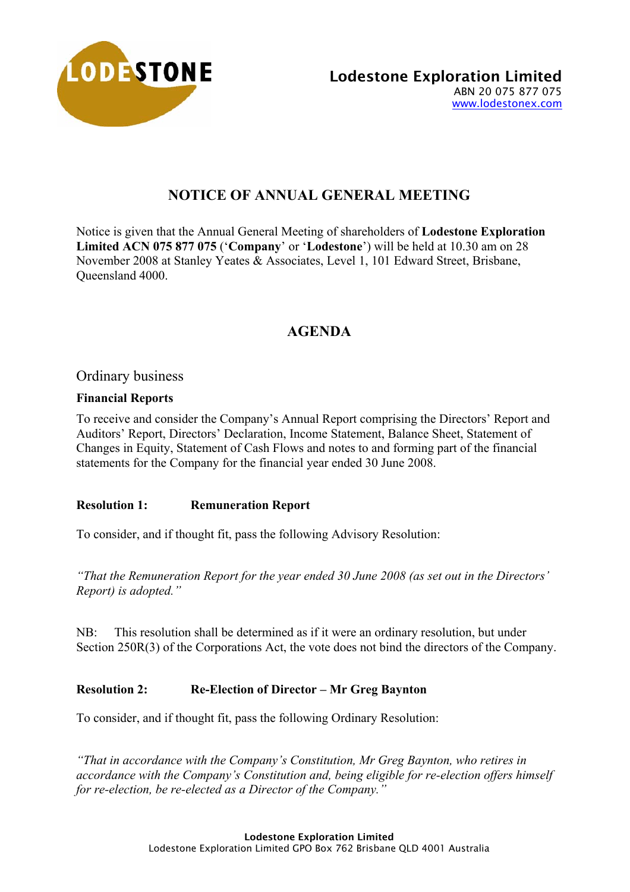

# **NOTICE OF ANNUAL GENERAL MEETING**

Notice is given that the Annual General Meeting of shareholders of **Lodestone Exploration Limited ACN 075 877 075** ('**Company**' or '**Lodestone**') will be held at 10.30 am on 28 November 2008 at Stanley Yeates & Associates, Level 1, 101 Edward Street, Brisbane, Queensland 4000.

# **AGENDA**

Ordinary business

# **Financial Reports**

To receive and consider the Company's Annual Report comprising the Directors' Report and Auditors' Report, Directors' Declaration, Income Statement, Balance Sheet, Statement of Changes in Equity, Statement of Cash Flows and notes to and forming part of the financial statements for the Company for the financial year ended 30 June 2008.

# **Resolution 1: Remuneration Report**

To consider, and if thought fit, pass the following Advisory Resolution:

*"That the Remuneration Report for the year ended 30 June 2008 (as set out in the Directors' Report) is adopted."*

NB: This resolution shall be determined as if it were an ordinary resolution, but under Section 250R(3) of the Corporations Act, the vote does not bind the directors of the Company.

# **Resolution 2: Re-Election of Director – Mr Greg Baynton**

To consider, and if thought fit, pass the following Ordinary Resolution:

*"That in accordance with the Company's Constitution, Mr Greg Baynton, who retires in accordance with the Company's Constitution and, being eligible for re-election offers himself for re-election, be re-elected as a Director of the Company."*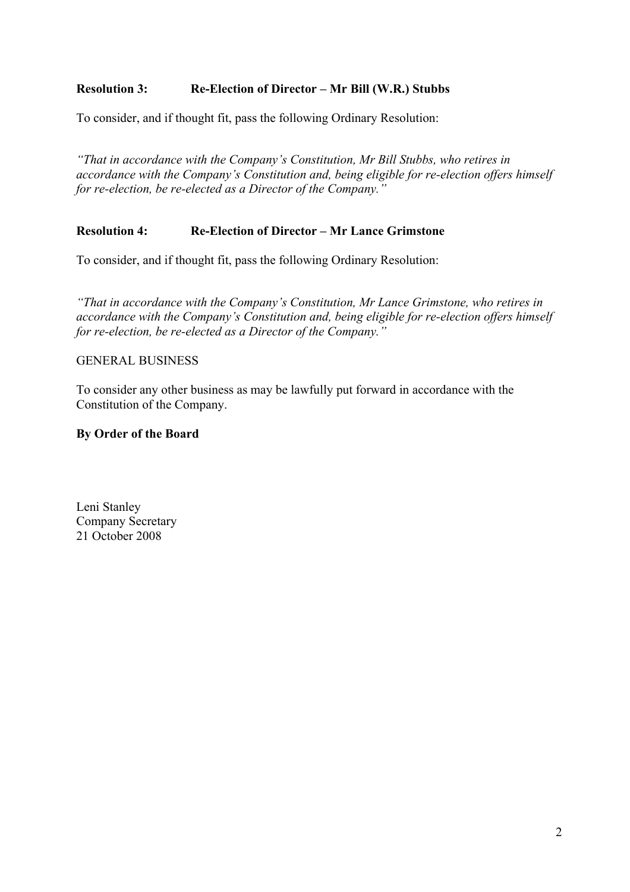# **Resolution 3: Re-Election of Director – Mr Bill (W.R.) Stubbs**

To consider, and if thought fit, pass the following Ordinary Resolution:

*"That in accordance with the Company's Constitution, Mr Bill Stubbs, who retires in accordance with the Company's Constitution and, being eligible for re-election offers himself for re-election, be re-elected as a Director of the Company."* 

# **Resolution 4: Re-Election of Director – Mr Lance Grimstone**

To consider, and if thought fit, pass the following Ordinary Resolution:

*"That in accordance with the Company's Constitution, Mr Lance Grimstone, who retires in accordance with the Company's Constitution and, being eligible for re-election offers himself for re-election, be re-elected as a Director of the Company."*

# GENERAL BUSINESS

To consider any other business as may be lawfully put forward in accordance with the Constitution of the Company.

# **By Order of the Board**

Leni Stanley Company Secretary 21 October 2008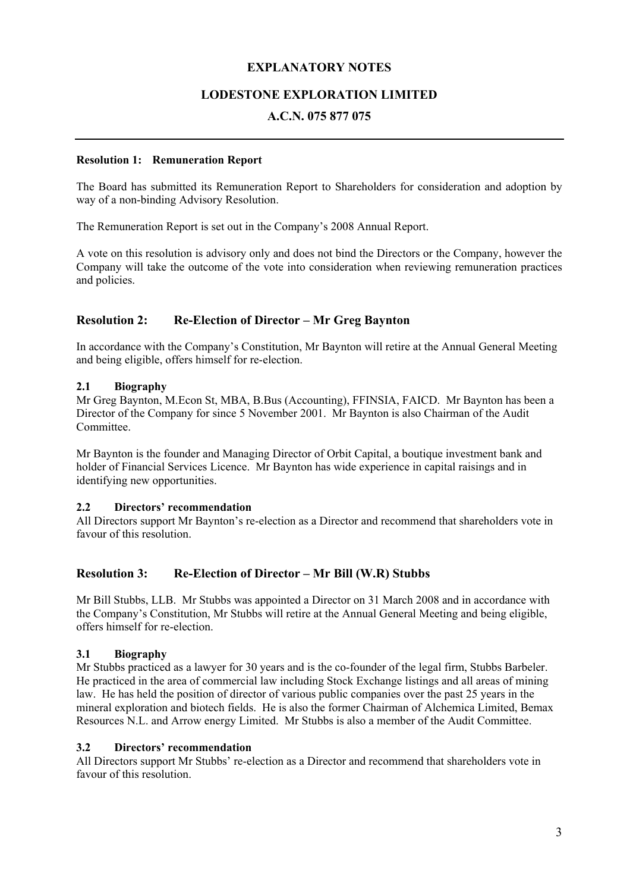### **EXPLANATORY NOTES**

### **LODESTONE EXPLORATION LIMITED**

### **A.C.N. 075 877 075**

#### **Resolution 1: Remuneration Report**

The Board has submitted its Remuneration Report to Shareholders for consideration and adoption by way of a non-binding Advisory Resolution.

The Remuneration Report is set out in the Company's 2008 Annual Report.

A vote on this resolution is advisory only and does not bind the Directors or the Company, however the Company will take the outcome of the vote into consideration when reviewing remuneration practices and policies.

#### **Resolution 2: Re-Election of Director – Mr Greg Baynton**

In accordance with the Company's Constitution, Mr Baynton will retire at the Annual General Meeting and being eligible, offers himself for re-election.

#### **2.1 Biography**

Mr Greg Baynton, M.Econ St, MBA, B.Bus (Accounting), FFINSIA, FAICD. Mr Baynton has been a Director of the Company for since 5 November 2001. Mr Baynton is also Chairman of the Audit **Committee** 

Mr Baynton is the founder and Managing Director of Orbit Capital, a boutique investment bank and holder of Financial Services Licence. Mr Baynton has wide experience in capital raisings and in identifying new opportunities.

#### **2.2 Directors' recommendation**

All Directors support Mr Baynton's re-election as a Director and recommend that shareholders vote in favour of this resolution.

#### **Resolution 3: Re-Election of Director – Mr Bill (W.R) Stubbs**

Mr Bill Stubbs, LLB. Mr Stubbs was appointed a Director on 31 March 2008 and in accordance with the Company's Constitution, Mr Stubbs will retire at the Annual General Meeting and being eligible, offers himself for re-election.

#### **3.1 Biography**

Mr Stubbs practiced as a lawyer for 30 years and is the co-founder of the legal firm, Stubbs Barbeler. He practiced in the area of commercial law including Stock Exchange listings and all areas of mining law. He has held the position of director of various public companies over the past 25 years in the mineral exploration and biotech fields. He is also the former Chairman of Alchemica Limited, Bemax Resources N.L. and Arrow energy Limited. Mr Stubbs is also a member of the Audit Committee.

#### **3.2 Directors' recommendation**

All Directors support Mr Stubbs' re-election as a Director and recommend that shareholders vote in favour of this resolution.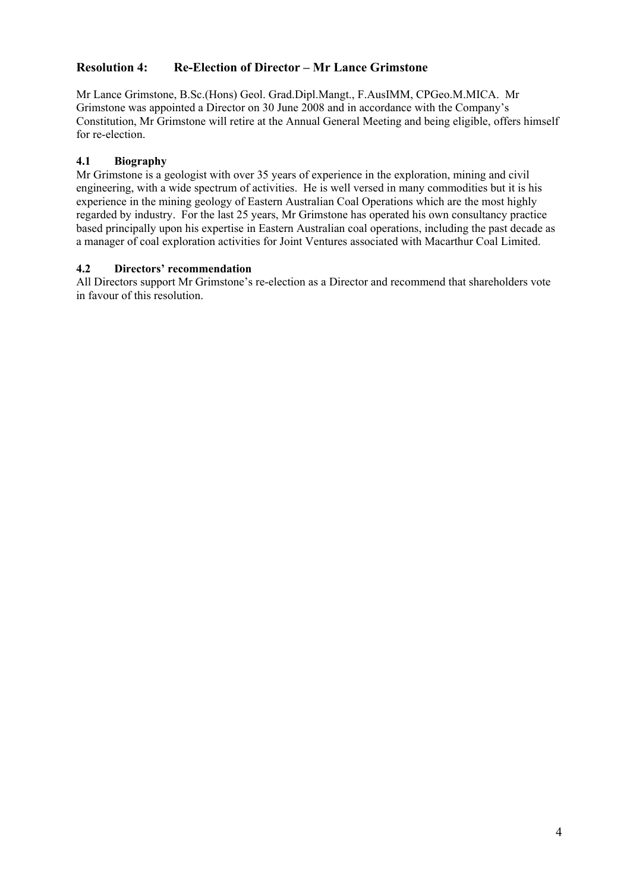# **Resolution 4: Re-Election of Director – Mr Lance Grimstone**

Mr Lance Grimstone, B.Sc.(Hons) Geol. Grad.Dipl.Mangt., F.AusIMM, CPGeo.M.MICA. Mr Grimstone was appointed a Director on 30 June 2008 and in accordance with the Company's Constitution, Mr Grimstone will retire at the Annual General Meeting and being eligible, offers himself for re-election.

## **4.1 Biography**

Mr Grimstone is a geologist with over 35 years of experience in the exploration, mining and civil engineering, with a wide spectrum of activities. He is well versed in many commodities but it is his experience in the mining geology of Eastern Australian Coal Operations which are the most highly regarded by industry. For the last 25 years, Mr Grimstone has operated his own consultancy practice based principally upon his expertise in Eastern Australian coal operations, including the past decade as a manager of coal exploration activities for Joint Ventures associated with Macarthur Coal Limited.

### **4.2 Directors' recommendation**

All Directors support Mr Grimstone's re-election as a Director and recommend that shareholders vote in favour of this resolution.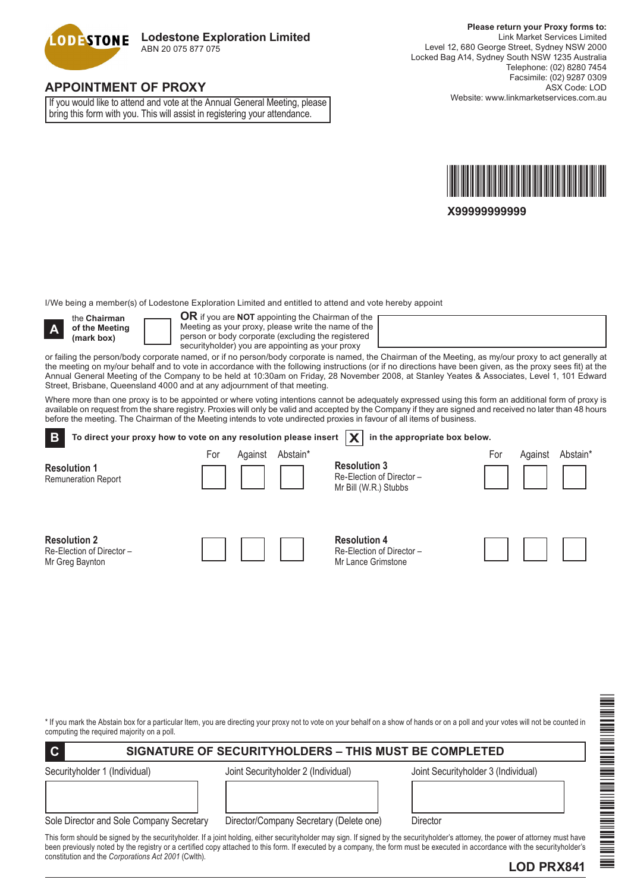

# **APPOINTMENT OF PROXY**

If you would like to attend and vote at the Annual General Meeting, please bring this form with you. This will assist in registering your attendance.



**X99999999999**

I/We being a member(s) of Lodestone Exploration Limited and entitled to attend and vote hereby appoint



the **Chairman of the Meeting (mark box)**

**OR** if you are **NOT** appointing the Chairman of the Meeting as your proxy, please write the name of the person or body corporate (excluding the registered securityholder) you are appointing as your proxy

or failing the person/body corporate named, or if no person/body corporate is named, the Chairman of the Meeting, as my/our proxy to act generally at the meeting on my/our behalf and to vote in accordance with the following instructions (or if no directions have been given, as the proxy sees fit) at the Annual General Meeting of the Company to be held at 10:30am on Friday, 28 November 2008, at Stanley Yeates & Associates, Level 1, 101 Edward Street, Brisbane, Queensland 4000 and at any adjournment of that meeting.

Where more than one proxy is to be appointed or where voting intentions cannot be adequately expressed using this form an additional form of proxy is available on request from the share registry. Proxies will only be valid and accepted by the Company if they are signed and received no later than 48 hours before the meeting. The Chairman of the Meeting intends to vote undirected proxies in favour of all items of business.

| B<br>To direct your proxy how to vote on any resolution please insert |     |         |          | in the appropriate box below.                                            |     |         |          |
|-----------------------------------------------------------------------|-----|---------|----------|--------------------------------------------------------------------------|-----|---------|----------|
| <b>Resolution 1</b><br><b>Remuneration Report</b>                     | For | Against | Abstain* | <b>Resolution 3</b><br>Re-Election of Director-<br>Mr Bill (W.R.) Stubbs | For | Against | Abstain* |
| <b>Resolution 2</b><br>Re-Election of Director -<br>Mr Greg Baynton   |     |         |          | <b>Resolution 4</b><br>Re-Election of Director-<br>Mr Lance Grimstone    |     |         |          |

\* If you mark the Abstain box for a particular Item, you are directing your proxy not to vote on your behalf on a show of hands or on a poll and your votes will not be counted in computing the required majority on a poll.

### **C SIGNATURE OF SECURITYHOLDERS – THIS MUST BE COMPLETED**

Securityholder 1 (Individual) Joint Securityholder 2 (Individual) Joint Securityholder 3 (Individual)

| Sole Director and Sole Company Secretary |  |  |
|------------------------------------------|--|--|

Director/Company Secretary (Delete one) Director

This form should be signed by the securityholder. If a joint holding, either securityholder may sign. If signed by the securityholder's attorney, the power of attorney must have been previously noted by the registry or a certified copy attached to this form. If executed by a company, the form must be executed in accordance with the securityholder's constitution and the *Corporations Act 2001* (Cwlth).



\*LOD PRX841\*

IL AN INTERNATIONAL INTERNATIONAL AND ANNO DELL'INTERNET